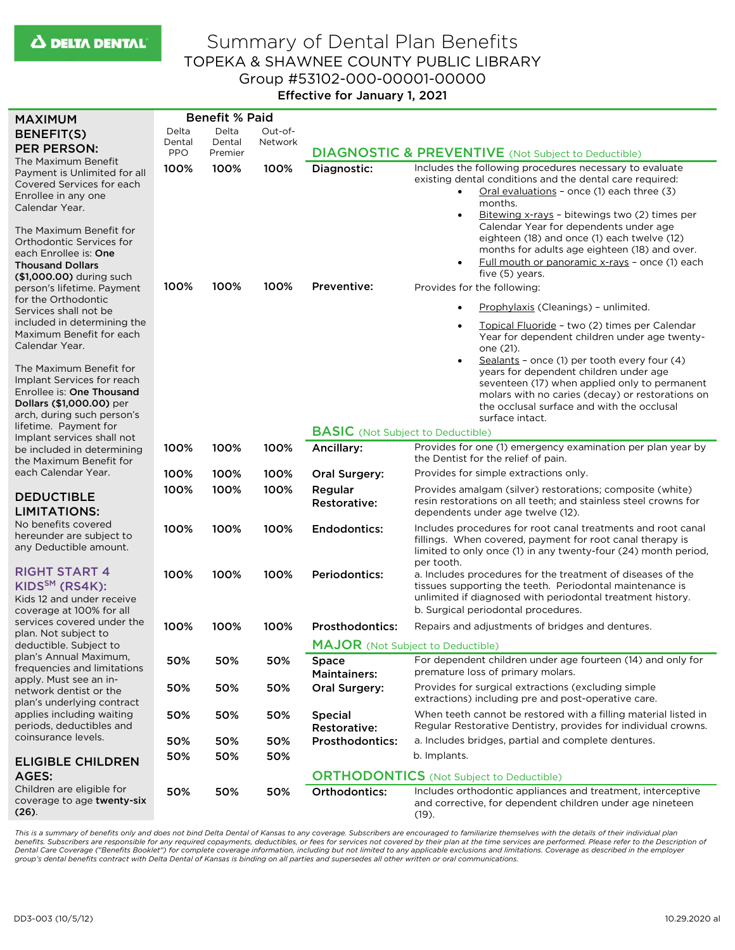## Summary of Dental Plan Benefits TOPEKA & SHAWNEE COUNTY PUBLIC LIBRARY Group #53102-000-00001-00000 Effective for January 1, 2021

| <b>MAXIMUM</b>                                                                                                                                                    | <b>Benefit % Paid</b> |                   |         |                                                 |                                                                                                                                                                                                                                                         |  |
|-------------------------------------------------------------------------------------------------------------------------------------------------------------------|-----------------------|-------------------|---------|-------------------------------------------------|---------------------------------------------------------------------------------------------------------------------------------------------------------------------------------------------------------------------------------------------------------|--|
| <b>BENEFIT(S)</b>                                                                                                                                                 | Delta                 | Delta             | Out-of- |                                                 |                                                                                                                                                                                                                                                         |  |
| <b>PER PERSON:</b>                                                                                                                                                | Dental<br><b>PPO</b>  | Dental<br>Premier | Network |                                                 | <b>DIAGNOSTIC &amp; PREVENTIVE</b> (Not Subject to Deductible)                                                                                                                                                                                          |  |
| The Maximum Benefit<br>Payment is Unlimited for all<br>Covered Services for each<br>Enrollee in any one<br>Calendar Year.                                         | 100%                  | 100%              | 100%    | Diagnostic:                                     | Includes the following procedures necessary to evaluate<br>existing dental conditions and the dental care required:<br>Oral evaluations - once (1) each three (3)<br>$\bullet$<br>months.<br>Bitewing x-rays - bitewings two (2) times per<br>$\bullet$ |  |
| The Maximum Benefit for<br>Orthodontic Services for<br>each Enrollee is: One<br><b>Thousand Dollars</b><br>(\$1,000.00) during such<br>person's lifetime. Payment | 100%                  | 100%              | 100%    | Preventive:                                     | Calendar Year for dependents under age<br>eighteen (18) and once (1) each twelve (12)<br>months for adults age eighteen (18) and over.<br>Full mouth or panoramic x-rays - once (1) each<br>five (5) years.<br>Provides for the following:              |  |
| for the Orthodontic                                                                                                                                               |                       |                   |         |                                                 |                                                                                                                                                                                                                                                         |  |
| Services shall not be                                                                                                                                             |                       |                   |         |                                                 | Prophylaxis (Cleanings) - unlimited.                                                                                                                                                                                                                    |  |
| included in determining the<br>Maximum Benefit for each<br>Calendar Year.                                                                                         |                       |                   |         |                                                 | Topical Fluoride - two (2) times per Calendar<br>Year for dependent children under age twenty-<br>one (21).<br>Sealants - once (1) per tooth every four (4)<br>$\bullet$                                                                                |  |
| The Maximum Benefit for<br>Implant Services for reach<br>Enrollee is: One Thousand<br>Dollars (\$1,000.00) per<br>arch, during such person's                      |                       |                   |         |                                                 | years for dependent children under age<br>seventeen (17) when applied only to permanent<br>molars with no caries (decay) or restorations on<br>the occlusal surface and with the occlusal<br>surface intact.                                            |  |
| lifetime. Payment for                                                                                                                                             |                       |                   |         | <b>BASIC</b> (Not Subject to Deductible)        |                                                                                                                                                                                                                                                         |  |
| Implant services shall not<br>be included in determining<br>the Maximum Benefit for                                                                               | 100%                  | 100%              | 100%    | Ancillary:                                      | Provides for one (1) emergency examination per plan year by<br>the Dentist for the relief of pain.                                                                                                                                                      |  |
| each Calendar Year.                                                                                                                                               | 100%                  | 100%              | 100%    | Oral Surgery:                                   | Provides for simple extractions only.                                                                                                                                                                                                                   |  |
|                                                                                                                                                                   | 100%                  | 100%              | 100%    | Regular                                         | Provides amalgam (silver) restorations; composite (white)                                                                                                                                                                                               |  |
| <b>DEDUCTIBLE</b><br><b>LIMITATIONS:</b>                                                                                                                          |                       |                   |         | Restorative:                                    | resin restorations on all teeth; and stainless steel crowns for<br>dependents under age twelve (12).                                                                                                                                                    |  |
| No benefits covered<br>hereunder are subject to<br>any Deductible amount.                                                                                         | 100%                  | 100%              | 100%    | Endodontics:                                    | Includes procedures for root canal treatments and root canal<br>fillings. When covered, payment for root canal therapy is<br>limited to only once (1) in any twenty-four (24) month period,<br>per tooth.                                               |  |
| <b>RIGHT START 4</b><br>KIDS <sup>SM</sup> (RS4K):<br>Kids 12 and under receive                                                                                   | 100%                  | 100%              | 100%    | <b>Periodontics:</b>                            | a. Includes procedures for the treatment of diseases of the<br>tissues supporting the teeth. Periodontal maintenance is<br>unlimited if diagnosed with periodontal treatment history.                                                                   |  |
| coverage at 100% for all<br>services covered under the                                                                                                            |                       |                   |         |                                                 | b. Surgical periodontal procedures.                                                                                                                                                                                                                     |  |
| plan. Not subject to                                                                                                                                              | 100%                  | 100%              | 100%    | <b>Prosthodontics:</b>                          | Repairs and adjustments of bridges and dentures.                                                                                                                                                                                                        |  |
| deductible. Subject to                                                                                                                                            |                       |                   |         | <b>MAJOR</b> (Not Subject to Deductible)        |                                                                                                                                                                                                                                                         |  |
| plan's Annual Maximum,<br>frequencies and limitations<br>apply. Must see an in-                                                                                   | 50%                   | 50%               | 50%     | <b>Space</b><br><b>Maintainers:</b>             | For dependent children under age fourteen (14) and only for<br>premature loss of primary molars.                                                                                                                                                        |  |
| network dentist or the<br>plan's underlying contract                                                                                                              | 50%                   | 50%               | 50%     | Oral Surgery:                                   | Provides for surgical extractions (excluding simple<br>extractions) including pre and post-operative care.                                                                                                                                              |  |
| applies including waiting<br>periods, deductibles and                                                                                                             | 50%                   | 50%               | 50%     | <b>Special</b><br><b>Restorative:</b>           | When teeth cannot be restored with a filling material listed in<br>Regular Restorative Dentistry, provides for individual crowns.                                                                                                                       |  |
| coinsurance levels.                                                                                                                                               | 50%                   | 50%               | 50%     | <b>Prosthodontics:</b>                          | a. Includes bridges, partial and complete dentures.                                                                                                                                                                                                     |  |
| <b>ELIGIBLE CHILDREN</b>                                                                                                                                          | 50%                   | 50%               | 50%     |                                                 | b. Implants.                                                                                                                                                                                                                                            |  |
| AGES:                                                                                                                                                             |                       |                   |         | <b>ORTHODONTICS</b> (Not Subject to Deductible) |                                                                                                                                                                                                                                                         |  |
| Children are eligible for<br>coverage to age twenty-six<br>$(26)$ .                                                                                               | 50%                   | 50%               | 50%     | Orthodontics:                                   | Includes orthodontic appliances and treatment, interceptive<br>and corrective, for dependent children under age nineteen<br>$(19)$ .                                                                                                                    |  |

*This is a summary of benefits only and does not bind Delta Dental of Kansas to any coverage. Subscribers are encouraged to familiarize themselves with the details of their individual plan*  benefits. Subscribers are responsible for any required copayments, deductibles, or fees for services not covered by their plan at the time services are performed. Please refer to the Description of<br>Dental Care Coverage ("B *group's dental benefits contract with Delta Dental of Kansas is binding on all parties and supersedes all other written or oral communications.*